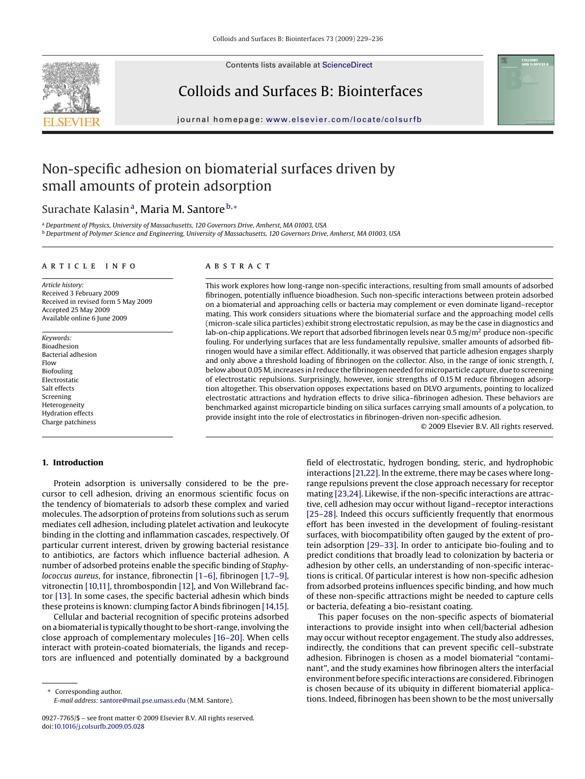

Contents lists available at [ScienceDirect](http://www.sciencedirect.com/science/journal/09277765)

## Colloids and Surfaces B: Biointerfaces



journal homepage: [www.elsevier.com/locate/colsurfb](http://www.elsevier.com/locate/colsurfb)

# Non-specific adhesion on biomaterial surfaces driven by small amounts of protein adsorption

## Surachate Kalasin<sup>a</sup>, Maria M. Santore<sup>b,\*</sup>

<sup>a</sup> *Department of Physics, University of Massachusetts, 120 Governors Drive, Amherst, MA 01003, USA*

<sup>b</sup> *Department of Polymer Science and Engineering, University of Massachusetts, 120 Governors Drive, Amherst, MA 01003, USA*

## ARTICLE INFO

*Article history:* Received 3 February 2009 Received in revised form 5 May 2009 Accepted 25 May 2009 Available online 6 June 2009

*Keywords:* Bioadhesion Bacterial adhesion Flow Biofouling Electrostatic Salt effects Screening Heterogeneity Hydration effects Charge patchiness

## **ABSTRACT**

This work explores how long-range non-specific interactions, resulting from small amounts of adsorbed fibrinogen, potentially influence bioadhesion. Such non-specific interactions between protein adsorbed on a biomaterial and approaching cells or bacteria may complement or even dominate ligand–receptor mating. This work considers situations where the biomaterial surface and the approaching model cells (micron-scale silica particles) exhibit strong electrostatic repulsion, as may be the case in diagnostics and lab-on-chip applications. We report that adsorbed fibrinogen levels near  $0.5$  mg/m<sup>2</sup> produce non-specific fouling. For underlying surfaces that are less fundamentally repulsive, smaller amounts of adsorbed fibrinogen would have a similar effect. Additionally, it was observed that particle adhesion engages sharply and only above a threshold loading of fibrinogen on the collector. Also, in the range of ionic strength, *I*, below about 0.05 M, increases in*I* reduce the fibrinogen needed for microparticle capture, due to screening of electrostatic repulsions. Surprisingly, however, ionic strengths of 0.15 M reduce fibrinogen adsorption altogether. This observation opposes expectations based on DLVO arguments, pointing to localized electrostatic attractions and hydration effects to drive silica–fibrinogen adhesion. These behaviors are benchmarked against microparticle binding on silica surfaces carrying small amounts of a polycation, to provide insight into the role of electrostatics in fibrinogen-driven non-specific adhesion.

© 2009 Elsevier B.V. All rights reserved.

## **1. Introduction**

Protein adsorption is universally considered to be the precursor to cell adhesion, driving an enormous scientific focus on the tendency of biomaterials to adsorb these complex and varied molecules. The adsorption of proteins from solutions such as serum mediates cell adhesion, including platelet activation and leukocyte binding in the clotting and inflammation cascades, respectively. Of particular current interest, driven by growing bacterial resistance to antibiotics, are factors which influence bacterial adhesion. A number of adsorbed proteins enable the specific binding of *Staphylococcus aureus*, for instance, fibronectin [\[1–6\],](#page-6-0) fibrinogen [\[1,7–9\],](#page-6-0) vitronectin [\[10,11\], t](#page-6-0)hrombospondin [\[12\], a](#page-6-0)nd Von Willebrand factor [\[13\]. I](#page-6-0)n some cases, the specific bacterial adhesin which binds these proteins is known: clumping factor A binds fibrinogen [\[14,15\].](#page-6-0)

Cellular and bacterial recognition of specific proteins adsorbed on a biomaterial is typically thought to be short-range, involving the close approach of complementary molecules [\[16–20\]. W](#page-6-0)hen cells interact with protein-coated biomaterials, the ligands and receptors are influenced and potentially dominated by a background

Corresponding author. *E-mail address:* [santore@mail.pse.umass.edu](mailto:santore@mail.pse.umass.edu) (M.M. Santore). field of electrostatic, hydrogen bonding, steric, and hydrophobic interactions [\[21,22\]. I](#page-6-0)n the extreme, there may be cases where longrange repulsions prevent the close approach necessary for receptor mating [\[23,24\]. L](#page-6-0)ikewise, if the non-specific interactions are attractive, cell adhesion may occur without ligand–receptor interactions [\[25–28\]. I](#page-6-0)ndeed this occurs sufficiently frequently that enormous effort has been invested in the development of fouling-resistant surfaces, with biocompatibility often gauged by the extent of protein adsorption [\[29–33\]. I](#page-6-0)n order to anticipate bio-fouling and to predict conditions that broadly lead to colonization by bacteria or adhesion by other cells, an understanding of non-specific interactions is critical. Of particular interest is how non-specific adhesion from adsorbed proteins influences specific binding, and how much of these non-specific attractions might be needed to capture cells or bacteria, defeating a bio-resistant coating.

This paper focuses on the non-specific aspects of biomaterial interactions to provide insight into when cell/bacterial adhesion may occur without receptor engagement. The study also addresses, indirectly, the conditions that can prevent specific cell–substrate adhesion. Fibrinogen is chosen as a model biomaterial "contaminant", and the study examines how fibrinogen alters the interfacial environment before specific interactions are considered. Fibrinogen is chosen because of its ubiquity in different biomaterial applications. Indeed, fibrinogen has been shown to be the most universally

<sup>0927-7765/\$ –</sup> see front matter © 2009 Elsevier B.V. All rights reserved. doi:[10.1016/j.colsurfb.2009.05.028](dx.doi.org/10.1016/j.colsurfb.2009.05.028)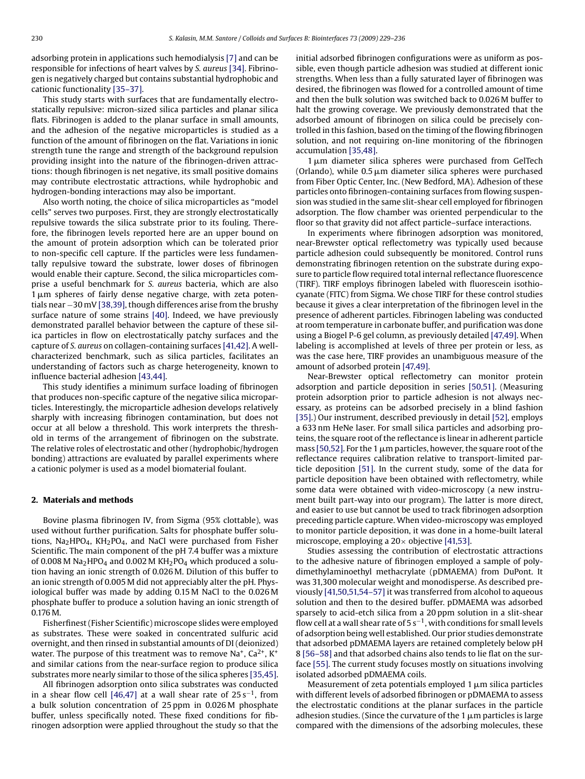adsorbing protein in applications such hemodialysis [\[7\]](#page-6-0) and can be responsible for infections of heart valves by *S. aureus* [\[34\]. F](#page-6-0)ibrinogen is negatively charged but contains substantial hydrophobic and cationic functionality [\[35–37\].](#page-6-0)

This study starts with surfaces that are fundamentally electrostatically repulsive: micron-sized silica particles and planar silica flats. Fibrinogen is added to the planar surface in small amounts, and the adhesion of the negative microparticles is studied as a function of the amount of fibrinogen on the flat. Variations in ionic strength tune the range and strength of the background repulsion providing insight into the nature of the fibrinogen-driven attractions: though fibrinogen is net negative, its small positive domains may contribute electrostatic attractions, while hydrophobic and hydrogen-bonding interactions may also be important.

Also worth noting, the choice of silica microparticles as "model cells" serves two purposes. First, they are strongly electrostatically repulsive towards the silica substrate prior to its fouling. Therefore, the fibrinogen levels reported here are an upper bound on the amount of protein adsorption which can be tolerated prior to non-specific cell capture. If the particles were less fundamentally repulsive toward the substrate, lower doses of fibrinogen would enable their capture. Second, the silica microparticles comprise a useful benchmark for *S. aureus* bacteria, which are also  $1\,\mu$ m spheres of fairly dense negative charge, with zeta potentials near −30 mV [\[38,39\], t](#page-7-0)hough differences arise from the brushy surface nature of some strains [\[40\]. I](#page-7-0)ndeed, we have previously demonstrated parallel behavior between the capture of these silica particles in flow on electrostatically patchy surfaces and the capture of *S. aureus* on collagen-containing surfaces [\[41,42\]. A](#page-7-0) wellcharacterized benchmark, such as silica particles, facilitates an understanding of factors such as charge heterogeneity, known to influence bacterial adhesion [\[43,44\].](#page-7-0)

This study identifies a minimum surface loading of fibrinogen that produces non-specific capture of the negative silica microparticles. Interestingly, the microparticle adhesion develops relatively sharply with increasing fibrinogen contamination, but does not occur at all below a threshold. This work interprets the threshold in terms of the arrangement of fibrinogen on the substrate. The relative roles of electrostatic and other (hydrophobic/hydrogen bonding) attractions are evaluated by parallel experiments where a cationic polymer is used as a model biomaterial foulant.

### **2. Materials and methods**

Bovine plasma fibrinogen IV, from Sigma (95% clottable), was used without further purification. Salts for phosphate buffer solutions,  $Na<sub>2</sub>HPO<sub>4</sub>$ ,  $KH<sub>2</sub>PO<sub>4</sub>$ , and NaCl were purchased from Fisher Scientific. The main component of the pH 7.4 buffer was a mixture of 0.008 M Na<sub>2</sub>HPO<sub>4</sub> and 0.002 M KH<sub>2</sub>PO<sub>4</sub> which produced a solution having an ionic strength of 0.026 M. Dilution of this buffer to an ionic strength of 0.005 M did not appreciably alter the pH. Physiological buffer was made by adding 0.15 M NaCl to the 0.026 M phosphate buffer to produce a solution having an ionic strength of 0.176 M.

Fisherfinest (Fisher Scientific) microscope slides were employed as substrates. These were soaked in concentrated sulfuric acid overnight, and then rinsed in substantial amounts of DI (deionized) water. The purpose of this treatment was to remove  $Na^+$ ,  $Ca^{2+}$ ,  $K^+$ and similar cations from the near-surface region to produce silica substrates more nearly similar to those of the silica spheres [\[35,45\].](#page-6-0)

All fibrinogen adsorption onto silica substrates was conducted in a shear flow cell [\[46,47\]](#page-7-0) at a wall shear rate of  $25 s<sup>-1</sup>$ , from a bulk solution concentration of 25 ppm in 0.026 M phosphate buffer, unless specifically noted. These fixed conditions for fibrinogen adsorption were applied throughout the study so that the initial adsorbed fibrinogen configurations were as uniform as possible, even though particle adhesion was studied at different ionic strengths. When less than a fully saturated layer of fibrinogen was desired, the fibrinogen was flowed for a controlled amount of time and then the bulk solution was switched back to 0.026 M buffer to halt the growing coverage. We previously demonstrated that the adsorbed amount of fibrinogen on silica could be precisely controlled in this fashion, based on the timing of the flowing fibrinogen solution, and not requiring on-line monitoring of the fibrinogen accumulation [\[35,48\].](#page-6-0)

 $1 \mu$ m diameter silica spheres were purchased from GelTech (Orlando), while 0.5  $\upmu$ m diameter silica spheres were purchased from Fiber Optic Center, Inc. (New Bedford, MA). Adhesion of these particles onto fibrinogen-containing surfaces from flowing suspension was studied in the same slit-shear cell employed for fibrinogen adsorption. The flow chamber was oriented perpendicular to the floor so that gravity did not affect particle–surface interactions.

In experiments where fibrinogen adsorption was monitored, near-Brewster optical reflectometry was typically used because particle adhesion could subsequently be monitored. Control runs demonstrating fibrinogen retention on the substrate during exposure to particle flow required total internal reflectance fluorescence (TIRF). TIRF employs fibrinogen labeled with fluorescein isothiocyanate (FITC) from Sigma. We chose TIRF for these control studies because it gives a clear interpretation of the fibrinogen level in the presence of adherent particles. Fibrinogen labeling was conducted at room temperature in carbonate buffer, and purification was done using a Biogel P-6 gel column, as previously detailed [\[47,49\]. W](#page-7-0)hen labeling is accomplished at levels of three per protein or less, as was the case here, TIRF provides an unambiguous measure of the amount of adsorbed protein [\[47,49\].](#page-7-0)

Near-Brewster optical reflectometry can monitor protein adsorption and particle deposition in series [\[50,51\].](#page-7-0) (Measuring protein adsorption prior to particle adhesion is not always necessary, as proteins can be adsorbed precisely in a blind fashion [\[35\].\)](#page-6-0) Our instrument, described previously in detail [\[52\], e](#page-7-0)mploys a 633 nm HeNe laser. For small silica particles and adsorbing proteins, the square root of the reflectance is linear in adherent particle  ${\rm mass}$  [\[50,52\]. F](#page-7-0)or the 1  ${\rm \mu m}$  particles, however, the square root of the reflectance requires calibration relative to transport-limited particle deposition [\[51\].](#page-7-0) In the current study, some of the data for particle deposition have been obtained with reflectometry, while some data were obtained with video-microscopy (a new instrument built part-way into our program). The latter is more direct, and easier to use but cannot be used to track fibrinogen adsorption preceding particle capture. When video-microscopy was employed to monitor particle deposition, it was done in a home-built lateral microscope, employing a  $20 \times$  objective [\[41,53\].](#page-7-0)

Studies assessing the contribution of electrostatic attractions to the adhesive nature of fibrinogen employed a sample of polydimethylaminoethyl methacrylate (pDMAEMA) from DuPont. It was 31,300 molecular weight and monodisperse. As described previously [\[41,50,51,54–57\]](#page-7-0) it was transferred from alcohol to aqueous solution and then to the desired buffer. pDMAEMA was adsorbed sparsely to acid-etch silica from a 20 ppm solution in a slit-shear flow cell at a wall shear rate of 5  $s^{-1}$ , with conditions for small levels of adsorption being well established. Our prior studies demonstrate that adsorbed pDMAEMA layers are retained completely below pH 8 [\[56–58\]](#page-7-0) and that adsorbed chains also tends to lie flat on the surface [\[55\]. T](#page-7-0)he current study focuses mostly on situations involving isolated adsorbed pDMAEMA coils.

Measurement of zeta potentials employed 1  $\mu$ m silica particles with different levels of adsorbed fibrinogen or pDMAEMA to assess the electrostatic conditions at the planar surfaces in the particle adhesion studies. (Since the curvature of the 1  $\mu$ m particles is large compared with the dimensions of the adsorbing molecules, these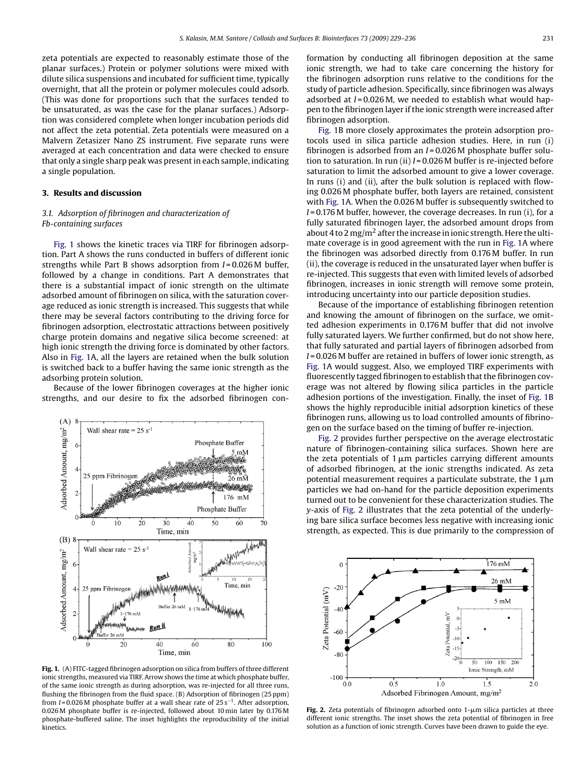<span id="page-2-0"></span>zeta potentials are expected to reasonably estimate those of the planar surfaces.) Protein or polymer solutions were mixed with dilute silica suspensions and incubated for sufficient time, typically overnight, that all the protein or polymer molecules could adsorb. (This was done for proportions such that the surfaces tended to be unsaturated, as was the case for the planar surfaces.) Adsorption was considered complete when longer incubation periods did not affect the zeta potential. Zeta potentials were measured on a Malvern Zetasizer Nano ZS instrument. Five separate runs were averaged at each concentration and data were checked to ensure that only a single sharp peak was present in each sample, indicating a single population.

## **3. Results and discussion**

## *3.1. Adsorption of fibrinogen and characterization of Fb-containing surfaces*

Fig. 1 shows the kinetic traces via TIRF for fibrinogen adsorption. Part A shows the runs conducted in buffers of different ionic strengths while Part B shows adsorption from *I* = 0.026 M buffer, followed by a change in conditions. Part A demonstrates that there is a substantial impact of ionic strength on the ultimate adsorbed amount of fibrinogen on silica, with the saturation coverage reduced as ionic strength is increased. This suggests that while there may be several factors contributing to the driving force for fibrinogen adsorption, electrostatic attractions between positively charge protein domains and negative silica become screened: at high ionic strength the driving force is dominated by other factors. Also in Fig. 1A, all the layers are retained when the bulk solution is switched back to a buffer having the same ionic strength as the adsorbing protein solution.

Because of the lower fibrinogen coverages at the higher ionic strengths, and our desire to fix the adsorbed fibrinogen con-



**Fig. 1.** (A) FITC-tagged fibrinogen adsorption on silica from buffers of three different ionic strengths, measured via TIRF. Arrow shows the time at which phosphate buffer, of the same ionic strength as during adsorption, was re-injected for all three runs, flushing the fibrinogen from the fluid space. (B) Adsorption of fibrinogen (25 ppm) from *I* = 0.026 M phosphate buffer at a wall shear rate of 25 s−1. After adsorption, 0.026 M phosphate buffer is re-injected, followed about 10 min later by 0.176 M phosphate-buffered saline. The inset highlights the reproducibility of the initial kinetics.

formation by conducting all fibrinogen deposition at the same ionic strength, we had to take care concerning the history for the fibrinogen adsorption runs relative to the conditions for the study of particle adhesion. Specifically, since fibrinogen was always adsorbed at *I* = 0.026 M, we needed to establish what would happen to the fibrinogen layer if the ionic strength were increased after fibrinogen adsorption.

Fig. 1B more closely approximates the protein adsorption protocols used in silica particle adhesion studies. Here, in run (i) fibrinogen is adsorbed from an *I* = 0.026 M phosphate buffer solution to saturation. In run (ii) *I* = 0.026 M buffer is re-injected before saturation to limit the adsorbed amount to give a lower coverage. In runs (i) and (ii), after the bulk solution is replaced with flowing 0.026 M phosphate buffer, both layers are retained, consistent with Fig. 1A. When the 0.026 M buffer is subsequently switched to *I* = 0.176 M buffer, however, the coverage decreases. In run (i), for a fully saturated fibrinogen layer, the adsorbed amount drops from about 4 to 2 mg/m<sup>2</sup> after the increase in ionic strength. Here the ultimate coverage is in good agreement with the run in Fig. 1A where the fibrinogen was adsorbed directly from 0.176 M buffer. In run (ii), the coverage is reduced in the unsaturated layer when buffer is re-injected. This suggests that even with limited levels of adsorbed fibrinogen, increases in ionic strength will remove some protein, introducing uncertainty into our particle deposition studies.

Because of the importance of establishing fibrinogen retention and knowing the amount of fibrinogen on the surface, we omitted adhesion experiments in 0.176 M buffer that did not involve fully saturated layers. We further confirmed, but do not show here, that fully saturated and partial layers of fibrinogen adsorbed from *I* = 0.026 M buffer are retained in buffers of lower ionic strength, as Fig. 1A would suggest. Also, we employed TIRF experiments with fluorescently tagged fibrinogen to establish that the fibrinogen coverage was not altered by flowing silica particles in the particle adhesion portions of the investigation. Finally, the inset of Fig. 1B shows the highly reproducible initial adsorption kinetics of these fibrinogen runs, allowing us to load controlled amounts of fibrinogen on the surface based on the timing of buffer re-injection.

Fig. 2 provides further perspective on the average electrostatic nature of fibrinogen-containing silica surfaces. Shown here are the zeta potentials of  $1 \mu m$  particles carrying different amounts of adsorbed fibrinogen, at the ionic strengths indicated. As zeta potential measurement requires a particulate substrate, the  $1 \mu m$ particles we had on-hand for the particle deposition experiments turned out to be convenient for these characterization studies. The *y*-axis of Fig. 2 illustrates that the zeta potential of the underlying bare silica surface becomes less negative with increasing ionic strength, as expected. This is due primarily to the compression of



**Fig. 2.** Zeta potentials of fibrinogen adsorbed onto  $1$ - $\mu$ m silica particles at three different ionic strengths. The inset shows the zeta potential of fibrinogen in free solution as a function of ionic strength. Curves have been drawn to guide the eye.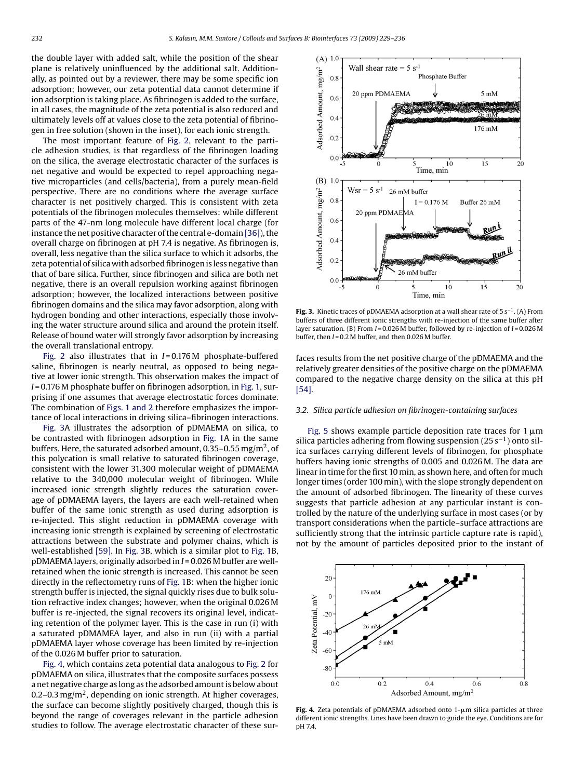<span id="page-3-0"></span>the double layer with added salt, while the position of the shear plane is relatively uninfluenced by the additional salt. Additionally, as pointed out by a reviewer, there may be some specific ion adsorption; however, our zeta potential data cannot determine if ion adsorption is taking place. As fibrinogen is added to the surface, in all cases, the magnitude of the zeta potential is also reduced and ultimately levels off at values close to the zeta potential of fibrinogen in free solution (shown in the inset), for each ionic strength.

The most important feature of [Fig. 2,](#page-2-0) relevant to the particle adhesion studies, is that regardless of the fibrinogen loading on the silica, the average electrostatic character of the surfaces is net negative and would be expected to repel approaching negative microparticles (and cells/bacteria), from a purely mean-field perspective. There are no conditions where the average surface character is net positively charged. This is consistent with zeta potentials of the fibrinogen molecules themselves: while different parts of the 47-nm long molecule have different local charge (for instance the net positive character of the central e-domain [\[36\]\),](#page-7-0) the overall charge on fibrinogen at pH 7.4 is negative. As fibrinogen is, overall, less negative than the silica surface to which it adsorbs, the zeta potential of silica with adsorbed fibrinogen is less negative than that of bare silica. Further, since fibrinogen and silica are both net negative, there is an overall repulsion working against fibrinogen adsorption; however, the localized interactions between positive fibrinogen domains and the silica may favor adsorption, along with hydrogen bonding and other interactions, especially those involving the water structure around silica and around the protein itself. Release of bound water will strongly favor adsorption by increasing the overall translational entropy.

[Fig. 2](#page-2-0) also illustrates that in *I* = 0.176 M phosphate-buffered saline, fibrinogen is nearly neutral, as opposed to being negative at lower ionic strength. This observation makes the impact of *I* = 0.176 M phosphate buffer on fibrinogen adsorption, in [Fig. 1, s](#page-2-0)urprising if one assumes that average electrostatic forces dominate. The combination of [Figs. 1 and 2](#page-2-0) therefore emphasizes the importance of local interactions in driving silica–fibrinogen interactions.

Fig. 3A illustrates the adsorption of pDMAEMA on silica, to be contrasted with fibrinogen adsorption in [Fig. 1A](#page-2-0) in the same buffers. Here, the saturated adsorbed amount, 0.35–0.55 mg/m<sup>2</sup>, of this polycation is small relative to saturated fibrinogen coverage, consistent with the lower 31,300 molecular weight of pDMAEMA relative to the 340,000 molecular weight of fibrinogen. While increased ionic strength slightly reduces the saturation coverage of pDMAEMA layers, the layers are each well-retained when buffer of the same ionic strength as used during adsorption is re-injected. This slight reduction in pDMAEMA coverage with increasing ionic strength is explained by screening of electrostatic attractions between the substrate and polymer chains, which is well-established [\[59\]. I](#page-7-0)n Fig. 3B, which is a similar plot to [Fig. 1B](#page-2-0), pDMAEMA layers, originally adsorbed in *I* = 0.026 M buffer are wellretained when the ionic strength is increased. This cannot be seen directly in the reflectometry runs of [Fig. 1B:](#page-2-0) when the higher ionic strength buffer is injected, the signal quickly rises due to bulk solution refractive index changes; however, when the original 0.026 M buffer is re-injected, the signal recovers its original level, indicating retention of the polymer layer. This is the case in run (i) with a saturated pDMAMEA layer, and also in run (ii) with a partial pDMAEMA layer whose coverage has been limited by re-injection of the 0.026 M buffer prior to saturation.

Fig. 4, which contains zeta potential data analogous to [Fig. 2](#page-2-0) for pDMAEMA on silica, illustrates that the composite surfaces possess a net negative charge as long as the adsorbed amount is below about 0.2–0.3 mg/m<sup>2</sup>, depending on ionic strength. At higher coverages, the surface can become slightly positively charged, though this is beyond the range of coverages relevant in the particle adhesion studies to follow. The average electrostatic character of these sur-



**Fig. 3.** Kinetic traces of pDMAEMA adsorption at a wall shear rate of 5 s<sup>−1</sup>. (A) From buffers of three different ionic strengths with re-injection of the same buffer after layer saturation. (B) From *I* = 0.026 M buffer, followed by re-injection of *I* = 0.026 M buffer, then *I* = 0.2 M buffer, and then 0.026 M buffer.

faces results from the net positive charge of the pDMAEMA and the relatively greater densities of the positive charge on the pDMAEMA compared to the negative charge density on the silica at this pH [\[54\].](#page-7-0)

#### *3.2. Silica particle adhesion on fibrinogen-containing surfaces*

[Fig. 5](#page-4-0) shows example particle deposition rate traces for  $1 \mu m$ silica particles adhering from flowing suspension (25 s<sup>-1</sup>) onto silica surfaces carrying different levels of fibrinogen, for phosphate buffers having ionic strengths of 0.005 and 0.026 M. The data are linear in time for the first 10 min, as shown here, and often for much longer times (order 100 min), with the slope strongly dependent on the amount of adsorbed fibrinogen. The linearity of these curves suggests that particle adhesion at any particular instant is controlled by the nature of the underlying surface in most cases (or by transport considerations when the particle–surface attractions are sufficiently strong that the intrinsic particle capture rate is rapid), not by the amount of particles deposited prior to the instant of



**Fig. 4.** Zeta potentials of pDMAEMA adsorbed onto 1-µm silica particles at three different ionic strengths. Lines have been drawn to guide the eye. Conditions are for pH 7.4.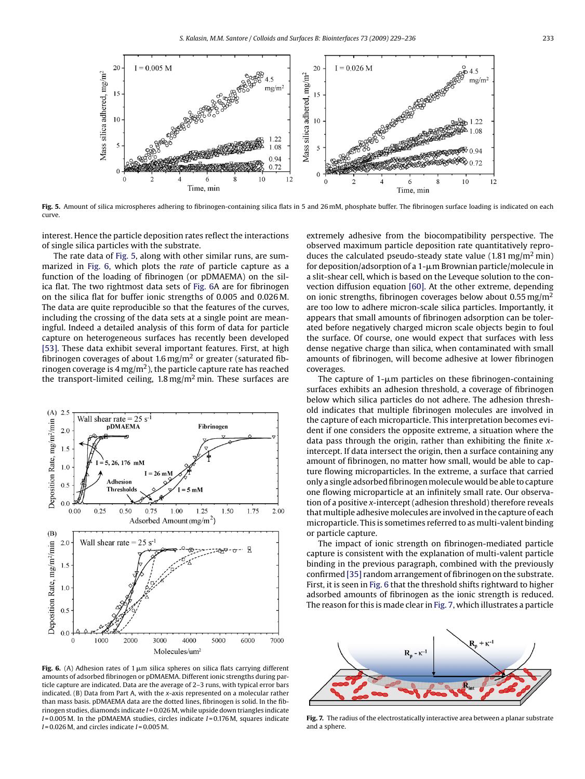<span id="page-4-0"></span>

Fig. 5. Amount of silica microspheres adhering to fibrinogen-containing silica flats in 5 and 26 mM, phosphate buffer. The fibrinogen surface loading is indicated on each curve.

interest. Hence the particle deposition rates reflect the interactions of single silica particles with the substrate.

The rate data of Fig. 5, along with other similar runs, are summarized in Fig. 6, which plots the *rate* of particle capture as a function of the loading of fibrinogen (or pDMAEMA) on the silica flat. The two rightmost data sets of Fig. 6A are for fibrinogen on the silica flat for buffer ionic strengths of 0.005 and 0.026 M. The data are quite reproducible so that the features of the curves, including the crossing of the data sets at a single point are meaningful. Indeed a detailed analysis of this form of data for particle capture on heterogeneous surfaces has recently been developed [\[53\].](#page-7-0) These data exhibit several important features. First, at high fibrinogen coverages of about 1.6 mg/m<sup>2</sup> or greater (saturated fibrinogen coverage is  $4 \text{ mg/m}^2$ ), the particle capture rate has reached the transport-limited ceiling,  $1.8 \,\mathrm{mg/m^2}$  min. These surfaces are



**Fig. 6.** (A) Adhesion rates of 1  $\mu$ m silica spheres on silica flats carrying different amounts of adsorbed fibrinogen or pDMAEMA. Different ionic strengths during particle capture are indicated. Data are the average of 2–3 runs, with typical error bars indicated. (B) Data from Part A, with the *x*-axis represented on a molecular rather than mass basis. pDMAEMA data are the dotted lines, fibrinogen is solid. In the fibrinogen studies, diamonds indicate *I* = 0.026 M, while upside down triangles indicate *I* = 0.005 M. In the pDMAEMA studies, circles indicate *I* = 0.176 M, squares indicate *I* = 0.026 M, and circles indicate *I* = 0.005 M.

extremely adhesive from the biocompatibility perspective. The observed maximum particle deposition rate quantitatively reproduces the calculated pseudo-steady state value  $(1.81 \,\mathrm{mg/m^2 min})$ for deposition/adsorption of a 1--m Brownian particle/molecule in a slit-shear cell, which is based on the Leveque solution to the convection diffusion equation [\[60\]. A](#page-7-0)t the other extreme, depending on ionic strengths, fibrinogen coverages below about 0.55 mg/m2 are too low to adhere micron-scale silica particles. Importantly, it appears that small amounts of fibrinogen adsorption can be tolerated before negatively charged micron scale objects begin to foul the surface. Of course, one would expect that surfaces with less dense negative charge than silica, when contaminated with small amounts of fibrinogen, will become adhesive at lower fibrinogen coverages.

The capture of  $1\text{-}\mu\text{m}$  particles on these fibrinogen-containing surfaces exhibits an adhesion threshold, a coverage of fibrinogen below which silica particles do not adhere. The adhesion threshold indicates that multiple fibrinogen molecules are involved in the capture of each microparticle. This interpretation becomes evident if one considers the opposite extreme, a situation where the data pass through the origin, rather than exhibiting the finite *x*intercept. If data intersect the origin, then a surface containing any amount of fibrinogen, no matter how small, would be able to capture flowing microparticles. In the extreme, a surface that carried only a single adsorbed fibrinogen molecule would be able to capture one flowing microparticle at an infinitely small rate. Our observation of a positive *x*-intercept (adhesion threshold) therefore reveals that multiple adhesive molecules are involved in the capture of each microparticle. This is sometimes referred to as multi-valent binding or particle capture.

The impact of ionic strength on fibrinogen-mediated particle capture is consistent with the explanation of multi-valent particle binding in the previous paragraph, combined with the previously confirmed [\[35\]](#page-6-0) random arrangement of fibrinogen on the substrate. First, it is seen in Fig. 6 that the threshold shifts rightward to higher adsorbed amounts of fibrinogen as the ionic strength is reduced. The reason for this is made clear in Fig. 7, which illustrates a particle



**Fig. 7.** The radius of the electrostatically interactive area between a planar substrate and a sphere.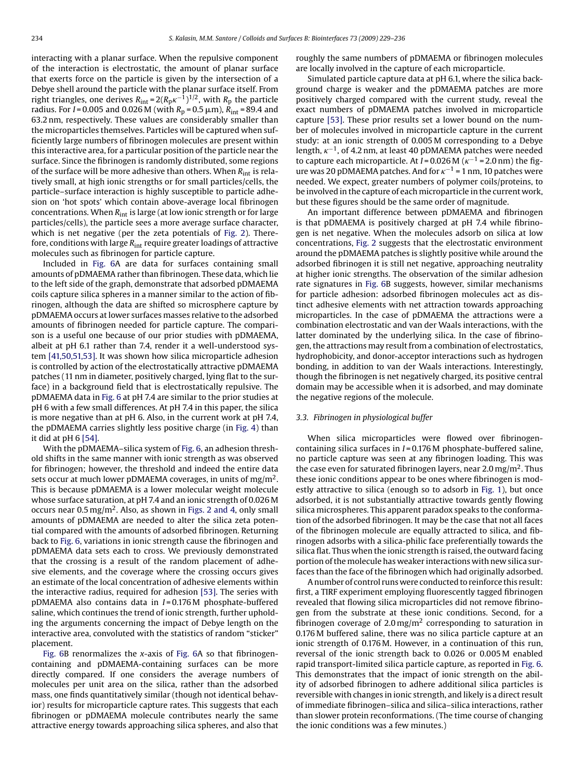interacting with a planar surface. When the repulsive component of the interaction is electrostatic, the amount of planar surface that exerts force on the particle is given by the intersection of a Debye shell around the particle with the planar surface itself. From right triangles, one derives  $R_{\rm int}$  = 2( $R_{\rm p}$  $\kappa^{-1}$  ) $^{1/2}$ , with  $R_{\rm p}$  the particle radius. For *I* = 0.005 and 0.026 M (with *R*<sub>p</sub> = 0.5 µm), *R*<sub>int</sub> = 89.4 and 63.2 nm, respectively. These values are considerably smaller than the microparticles themselves. Particles will be captured when sufficiently large numbers of fibrinogen molecules are present within this interactive area, for a particular position of the particle near the surface. Since the fibrinogen is randomly distributed, some regions of the surface will be more adhesive than others. When  $R_{int}$  is relatively small, at high ionic strengths or for small particles/cells, the particle–surface interaction is highly susceptible to particle adhesion on 'hot spots' which contain above-average local fibrinogen concentrations. When  $R_{int}$  is large (at low ionic strength or for large particles/cells), the particle sees a more average surface character, which is net negative (per the zeta potentials of [Fig. 2\).](#page-2-0) Therefore, conditions with large *R*int require greater loadings of attractive molecules such as fibrinogen for particle capture.

Included in [Fig. 6A](#page-4-0) are data for surfaces containing small amounts of pDMAEMA rather than fibrinogen. These data, which lie to the left side of the graph, demonstrate that adsorbed pDMAEMA coils capture silica spheres in a manner similar to the action of fibrinogen, although the data are shifted so microsphere capture by pDMAEMA occurs at lower surfaces masses relative to the adsorbed amounts of fibrinogen needed for particle capture. The comparison is a useful one because of our prior studies with pDMAEMA, albeit at pH 6.1 rather than 7.4, render it a well-understood system [\[41,50,51,53\]. I](#page-7-0)t was shown how silica microparticle adhesion is controlled by action of the electrostatically attractive pDMAEMA patches (11 nm in diameter, positively charged, lying flat to the surface) in a background field that is electrostatically repulsive. The pDMAEMA data in [Fig. 6](#page-4-0) at pH 7.4 are similar to the prior studies at pH 6 with a few small differences. At pH 7.4 in this paper, the silica is more negative than at pH 6. Also, in the current work at pH 7.4, the pDMAEMA carries slightly less positive charge (in [Fig. 4\)](#page-3-0) than it did at pH 6 [\[54\].](#page-7-0)

With the pDMAEMA–silica system of [Fig. 6, a](#page-4-0)n adhesion threshold shifts in the same manner with ionic strength as was observed for fibrinogen; however, the threshold and indeed the entire data sets occur at much lower pDMAEMA coverages, in units of mg/m<sup>2</sup>. This is because pDMAEMA is a lower molecular weight molecule whose surface saturation, at pH 7.4 and an ionic strength of 0.026 M occurs near  $0.5 \,\text{mg/m}^2$ . Also, as shown in [Figs. 2 and 4,](#page-2-0) only small amounts of pDMAEMA are needed to alter the silica zeta potential compared with the amounts of adsorbed fibrinogen. Returning back to [Fig. 6, v](#page-4-0)ariations in ionic strength cause the fibrinogen and pDMAEMA data sets each to cross. We previously demonstrated that the crossing is a result of the random placement of adhesive elements, and the coverage where the crossing occurs gives an estimate of the local concentration of adhesive elements within the interactive radius, required for adhesion [\[53\]. T](#page-7-0)he series with pDMAEMA also contains data in *I* = 0.176 M phosphate-buffered saline, which continues the trend of ionic strength, further upholding the arguments concerning the impact of Debye length on the interactive area, convoluted with the statistics of random "sticker" placement.

[Fig. 6B](#page-4-0) renormalizes the *x*-axis of [Fig. 6A](#page-4-0) so that fibrinogencontaining and pDMAEMA-containing surfaces can be more directly compared. If one considers the average numbers of molecules per unit area on the silica, rather than the adsorbed mass, one finds quantitatively similar (though not identical behavior) results for microparticle capture rates. This suggests that each fibrinogen or pDMAEMA molecule contributes nearly the same attractive energy towards approaching silica spheres, and also that roughly the same numbers of pDMAEMA or fibrinogen molecules are locally involved in the capture of each microparticle.

Simulated particle capture data at pH 6.1, where the silica background charge is weaker and the pDMAEMA patches are more positively charged compared with the current study, reveal the exact numbers of pDMAEMA patches involved in microparticle capture [\[53\]. T](#page-7-0)hese prior results set a lower bound on the number of molecules involved in microparticle capture in the current study: at an ionic strength of 0.005 M corresponding to a Debye length,  $\kappa^{-1}$ , of 4.2 nm, at least 40 pDMAEMA patches were needed to capture each microparticle. At  $I = 0.026$  M ( $\kappa^{-1} = 2.0$  nm) the figure was 20 pDMAEMA patches. And for  $\kappa^{-1}$  = 1 nm, 10 patches were needed. We expect, greater numbers of polymer coils/proteins, to be involved in the capture of each microparticle in the current work, but these figures should be the same order of magnitude.

An important difference between pDMAEMA and fibrinogen is that pDMAEMA is positively charged at pH 7.4 while fibrinogen is net negative. When the molecules adsorb on silica at low concentrations, [Fig. 2](#page-2-0) suggests that the electrostatic environment around the pDMAEMA patches is slightly positive while around the adsorbed fibrinogen it is still net negative, approaching neutrality at higher ionic strengths. The observation of the similar adhesion rate signatures in [Fig. 6B](#page-4-0) suggests, however, similar mechanisms for particle adhesion: adsorbed fibrinogen molecules act as distinct adhesive elements with net attraction towards approaching microparticles. In the case of pDMAEMA the attractions were a combination electrostatic and van der Waals interactions, with the latter dominated by the underlying silica. In the case of fibrinogen, the attractions may result from a combination of electrostatics, hydrophobicity, and donor-acceptor interactions such as hydrogen bonding, in addition to van der Waals interactions. Interestingly, though the fibrinogen is net negatively charged, its positive central domain may be accessible when it is adsorbed, and may dominate the negative regions of the molecule.

## *3.3. Fibrinogen in physiological buffer*

When silica microparticles were flowed over fibrinogencontaining silica surfaces in *I* = 0.176 M phosphate-buffered saline, no particle capture was seen at any fibrinogen loading. This was the case even for saturated fibrinogen layers, near 2.0 mg/m<sup>2</sup>. Thus these ionic conditions appear to be ones where fibrinogen is modestly attractive to silica (enough so to adsorb in [Fig. 1\),](#page-2-0) but once adsorbed, it is not substantially attractive towards gently flowing silica microspheres. This apparent paradox speaks to the conformation of the adsorbed fibrinogen. It may be the case that not all faces of the fibrinogen molecule are equally attracted to silica, and fibrinogen adsorbs with a silica-philic face preferentially towards the silica flat. Thus when the ionic strength is raised, the outward facing portion of the molecule has weaker interactions with new silica surfaces than the face of the fibrinogen which had originally adsorbed.

A number of control runs were conducted to reinforce this result: first, a TIRF experiment employing fluorescently tagged fibrinogen revealed that flowing silica microparticles did not remove fibrinogen from the substrate at these ionic conditions. Second, for a fibrinogen coverage of 2.0 mg/m<sup>2</sup> corresponding to saturation in 0.176 M buffered saline, there was no silica particle capture at an ionic strength of 0.176 M. However, in a continuation of this run, reversal of the ionic strength back to 0.026 or 0.005 M enabled rapid transport-limited silica particle capture, as reported in [Fig. 6.](#page-4-0) This demonstrates that the impact of ionic strength on the ability of adsorbed fibrinogen to adhere additional silica particles is reversible with changes in ionic strength, and likely is a direct result of immediate fibrinogen–silica and silica–silica interactions, rather than slower protein reconformations. (The time course of changing the ionic conditions was a few minutes.)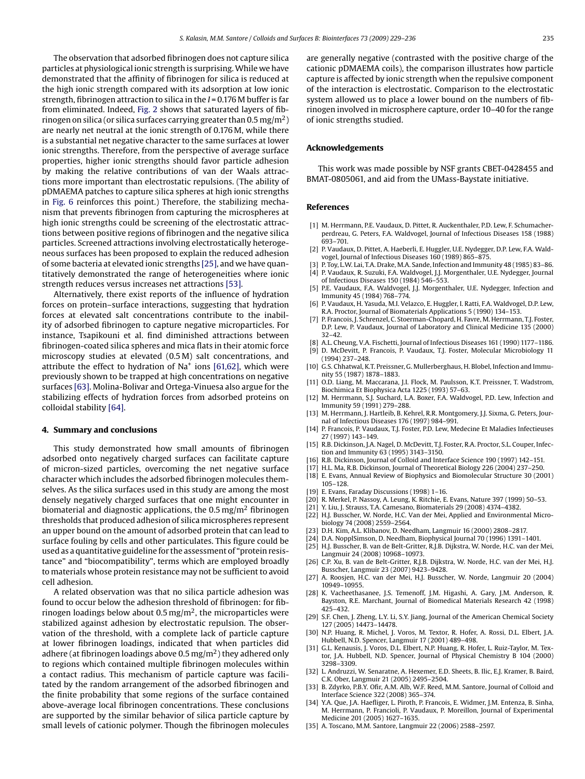<span id="page-6-0"></span>The observation that adsorbed fibrinogen does not capture silica particles at physiological ionic strength is surprising. While we have demonstrated that the affinity of fibrinogen for silica is reduced at the high ionic strength compared with its adsorption at low ionic strength, fibrinogen attraction to silica in the *I* = 0.176 M buffer is far from eliminated. Indeed, [Fig. 2](#page-2-0) shows that saturated layers of fibrinogen on silica (or silica surfaces carrying greater than  $0.5 \,\text{mg/m}^2$ ) are nearly net neutral at the ionic strength of 0.176 M, while there is a substantial net negative character to the same surfaces at lower ionic strengths. Therefore, from the perspective of average surface properties, higher ionic strengths should favor particle adhesion by making the relative contributions of van der Waals attractions more important than electrostatic repulsions. (The ability of pDMAEMA patches to capture silica spheres at high ionic strengths in [Fig. 6](#page-4-0) reinforces this point.) Therefore, the stabilizing mechanism that prevents fibrinogen from capturing the microspheres at high ionic strengths could be screening of the electrostatic attractions between positive regions of fibrinogen and the negative silica particles. Screened attractions involving electrostatically heterogeneous surfaces has been proposed to explain the reduced adhesion of some bacteria at elevated ionic strengths [25], and we have quantitatively demonstrated the range of heterogeneities where ionic strength reduces versus increases net attractions [\[53\].](#page-7-0)

Alternatively, there exist reports of the influence of hydration forces on protein–surface interactions, suggesting that hydration forces at elevated salt concentrations contribute to the inability of adsorbed fibrinogen to capture negative microparticles. For instance, Tsapikouni et al. find diminished attractions between fibrinogen-coated silica spheres and mica flats in their atomic force microscopy studies at elevated (0.5 M) salt concentrations, and attribute the effect to hydration of  $Na<sup>+</sup>$  ions [\[61,62\], w](#page-7-0)hich were previously shown to be trapped at high concentrations on negative surfaces [\[63\]. M](#page-7-0)olina-Bolivar and Ortega-Vinuesa also argue for the stabilizing effects of hydration forces from adsorbed proteins on colloidal stability [\[64\].](#page-7-0)

#### **4. Summary and conclusions**

This study demonstrated how small amounts of fibrinogen adsorbed onto negatively charged surfaces can facilitate capture of micron-sized particles, overcoming the net negative surface character which includes the adsorbed fibrinogen molecules themselves. As the silica surfaces used in this study are among the most densely negatively charged surfaces that one might encounter in biomaterial and diagnostic applications, the  $0.5 \,\text{mg/m}^2$  fibrinogen thresholds that produced adhesion of silica microspheres represent an upper bound on the amount of adsorbed protein that can lead to surface fouling by cells and other particulates. This figure could be used as a quantitative guideline for the assessment of "protein resistance" and "biocompatibility", terms which are employed broadly to materials whose protein resistance may not be sufficient to avoid cell adhesion.

A related observation was that no silica particle adhesion was found to occur below the adhesion threshold of fibrinogen: for fibrinogen loadings below about 0.5 mg/m<sup>2</sup>, the microparticles were stabilized against adhesion by electrostatic repulsion. The observation of the threshold, with a complete lack of particle capture at lower fibrinogen loadings, indicated that when particles did adhere (at fibrinogen loadings above 0.5 mg/m<sup>2</sup>) they adhered only to regions which contained multiple fibrinogen molecules within a contact radius. This mechanism of particle capture was facilitated by the random arrangement of the adsorbed fibrinogen and the finite probability that some regions of the surface contained above-average local fibrinogen concentrations. These conclusions are supported by the similar behavior of silica particle capture by small levels of cationic polymer. Though the fibrinogen molecules

are generally negative (contrasted with the positive charge of the cationic pDMAEMA coils), the comparison illustrates how particle capture is affected by ionic strength when the repulsive component of the interaction is electrostatic. Comparison to the electrostatic system allowed us to place a lower bound on the numbers of fibrinogen involved in microsphere capture, order 10–40 for the range of ionic strengths studied.

## **Acknowledgements**

This work was made possible by NSF grants CBET-0428455 and BMAT-0805061, and aid from the UMass-Baystate initiative.

#### **References**

- [1] M. Herrmann, P.E. Vaudaux, D. Pittet, R. Auckenthaler, P.D. Lew, F. Schumacherperdreau, G. Peters, F.A. Waldvogel, Journal of Infectious Diseases 158 (1988) 693–701.
- [2] P. Vaudaux, D. Pittet, A. Haeberli, E. Huggler, U.E. Nydegger, D.P. Lew, F.A. Waldvogel, Journal of Infectious Diseases 160 (1989) 865–875.
- [3] P. Toy, L.W. Lai, T.A. Drake, M.A. Sande, Infection and Immunity 48 (1985) 83–86. [4] P. Vaudaux, R. Suzuki, F.A. Waldvogel, J.J. Morgenthaler, U.E. Nydegger, Journal
- of Infectious Diseases 150 (1984) 546–553.
- [5] P.E. Vaudaux, F.A. Waldvogel, J.J. Morgenthaler, U.E. Nydegger, Infection and Immunity 45 (1984) 768–774. [6] P. Vaudaux, H. Yasuda, M.I. Velazco, E. Huggler, I. Ratti, F.A. Waldvogel, D.P. Lew,
- R.A. Proctor, Journal of Biomaterials Applications 5 (1990) 134–153.
- [7] P. Francois, J. Schrenzel, C. Stoerman-Chopard, H. Favre, M. Herrmann, T.J. Foster, D.P. Lew, P. Vaudaux, Journal of Laboratory and Clinical Medicine 135 (2000) 32–42.
- [8] A.L. Cheung, V.A. Fischetti, Journal of Infectious Diseases 161 (1990) 1177–1186. [9] D. McDevitt, P. Francois, P. Vaudaux, T.J. Foster, Molecular Microbiology 11
- (1994) 237–248. [10] G.S. Chhatwal, K.T. Preissner, G. Mullerberghaus, H. Blobel, Infection and Immu-
- nity 55 (1987) 1878–1883. [11] O.D. Liang, M. Maccarana, J.I. Flock, M. Paulsson, K.T. Preissner, T. Wadstrom,
- Biochimica Et Biophysica Acta 1225 (1993) 57–63. [12] M. Herrmann, S.J. Suchard, L.A. Boxer, F.A. Waldvogel, P.D. Lew, Infection and
- Immunity 59 (1991) 279–288.
- [13] M. Herrmann, J. Hartleib, B. Kehrel, R.R. Montgomery, J.J. Sixma, G. Peters, Journal of Infectious Diseases 176 (1997) 984–991.
- [14] P. Francois, P. Vaudaux, T.J. Foster, P.D. Lew, Medecine Et Maladies Infectieuses 27 (1997) 143–149.
- [15] R.B. Dickinson, J.A. Nagel, D. McDevitt, T.J. Foster, R.A. Proctor, S.L. Couper, Infection and Immunity 63 (1995) 3143–3150.
- [16] R.B. Dickinson, Journal of Colloid and Interface Science 190 (1997) 142–151.
- [17] H.L. Ma, R.B. Dickinson, Journal of Theoretical Biology 226 (2004) 237–250.
- [18] E. Evans, Annual Review of Biophysics and Biomolecular Structure 30 (2001) 105–128.
- [19] E. Evans, Faraday Discussions (1998) 1–16.
- [20] R. Merkel, P. Nassoy, A. Leung, K. Ritchie, E. Evans, Nature 397 (1999) 50–53.
- [21] Y. Liu, J. Strauss, T.A. Camesano, Biomaterials 29 (2008) 4374–4382. [22] H.J. Busscher, W. Norde, H.C. Van der Mei, Applied and Environmental Micro-
- biology 74 (2008) 2559–2564.
- [23] D.H. Kim, A.L. Klibanov, D. Needham, Langmuir 16 (2000) 2808–2817.
- [24] D.A. NopplSimson, D. Needham, Biophysical Journal 70 (1996) 1391–1401.
- [25] H.J. Busscher, B. van de Belt-Gritter, R.J.B. Dijkstra, W. Norde, H.C. van der Mei, Langmuir 24 (2008) 10968–10973. [26] C.P. Xu, B. van de Belt-Gritter, R.J.B. Dijkstra, W. Norde, H.C. van der Mei, H.J.
- Busscher, Langmuir 23 (2007) 9423–9428.
- [27] A. Roosjen, H.C. van der Mei, H.J. Busscher, W. Norde, Langmuir 20 (2004) 10949–10955.
- [28] K. Vacheethasanee, J.S. Temenoff, J.M. Higashi, A. Gary, J.M. Anderson, R. Bayston, R.E. Marchant, Journal of Biomedical Materials Research 42 (1998) 425–432.
- [29] S.F. Chen, J. Zheng, L.Y. Li, S.Y. Jiang, Journal of the American Chemical Society 127 (2005) 14473–14478.
- [30] N.P. Huang, R. Michel, J. Voros, M. Textor, R. Hofer, A. Rossi, D.L. Elbert, J.A. Hubbell, N.D. Spencer, Langmuir 17 (2001) 489–498.
- [31] G.L. Kenausis, J. Voros, D.L. Elbert, N.P. Huang, R. Hofer, L. Ruiz-Taylor, M. Textor, J.A. Hubbell, N.D. Spencer, Journal of Physical Chemistry B 104 (2000) 3298–3309.
- [32] L. Andruzzi, W. Senaratne, A. Hexemer, E.D. Sheets, B. Ilic, E.J. Kramer, B. Baird, C.K. Ober, Langmuir 21 (2005) 2495–2504.
- [33] B. Zdyrko, P.B.Y. Ofir, A.M. Alb, W.F. Reed, M.M. Santore, Journal of Colloid and Interface Science 322 (2008) 365–374.
- [34] Y.A. Que, J.A. Haefliger, L. Piroth, P. Francois, E. Widmer, J.M. Entenza, B. Sinha, M. Herrmann, P. Francioli, P. Vaudaux, P. Moreillon, Journal of Experimental Medicine 201 (2005) 1627–1635.
- [35] A. Toscano, M.M. Santore, Langmuir 22 (2006) 2588–2597.